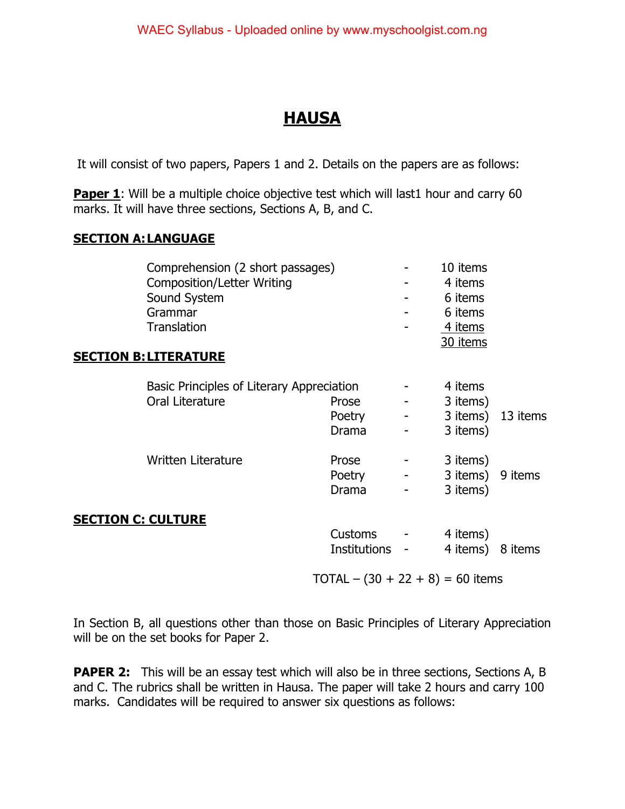# **HAUSA**

It will consist of two papers, Papers 1 and 2. Details on the papers are as follows:

**Paper 1**: Will be a multiple choice objective test which will last1 hour and carry 60 marks. It will have three sections, Sections A, B, and C.

#### **SECTION A: LANGUAGE**

|                           | Comprehension (2 short passages)<br><b>Composition/Letter Writing</b><br>Sound System<br>Grammar<br><b>Translation</b><br><b>SECTION B: LITERATURE</b> |                                 |                                                                                           | 10 items<br>4 items<br>6 items<br>6 items<br>4 items<br>30 items |         |
|---------------------------|--------------------------------------------------------------------------------------------------------------------------------------------------------|---------------------------------|-------------------------------------------------------------------------------------------|------------------------------------------------------------------|---------|
|                           | Basic Principles of Literary Appreciation<br>Oral Literature                                                                                           | Prose<br>Poetry<br><b>Drama</b> | $\frac{1}{2}$ and $\frac{1}{2}$<br>$\frac{1}{2}$ and $\frac{1}{2}$ and $\frac{1}{2}$<br>- | 4 items<br>3 items)<br>3 items) 13 items<br>3 items)             |         |
|                           | <b>Written Literature</b>                                                                                                                              | Prose<br>Poetry<br><b>Drama</b> | $\sigma_{\rm{max}}$ and $\sigma_{\rm{max}}$<br><b>Harry Corp.</b>                         | 3 items)<br>3 items) 9 items<br>3 items)                         |         |
| <b>SECTION C: CULTURE</b> |                                                                                                                                                        | Customs -<br>Institutions       |                                                                                           | 4 items)<br>4 items)                                             | 8 items |

 $TOTAL - (30 + 22 + 8) = 60$  items

In Section B, all questions other than those on Basic Principles of Literary Appreciation will be on the set books for Paper 2.

**PAPER 2:** This will be an essay test which will also be in three sections, Sections A, B and C. The rubrics shall be written in Hausa. The paper will take 2 hours and carry 100 marks. Candidates will be required to answer six questions as follows: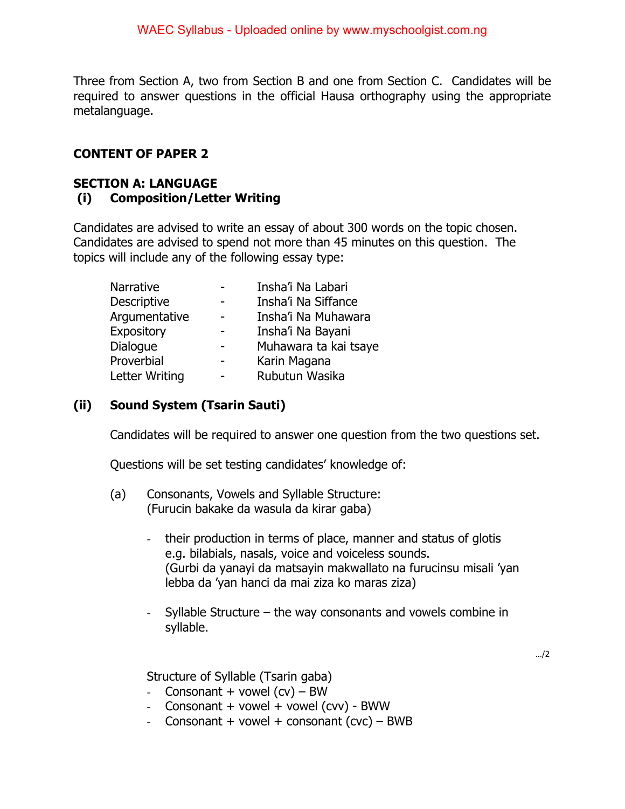Three from Section A, two from Section B and one from Section C. Candidates will be required to answer questions in the official Hausa orthography using the appropriate metalanguage.

#### **CONTENT OF PAPER 2**

#### **SECTION A: LANGUAGE (i) Composition/Letter Writing**

Candidates are advised to write an essay of about 300 words on the topic chosen. Candidates are advised to spend not more than 45 minutes on this question. The topics will include any of the following essay type:

| Narrative          | Insha'i Na Labari     |
|--------------------|-----------------------|
| <b>Descriptive</b> | Insha'i Na Siffance   |
| Argumentative      | Insha'i Na Muhawara   |
| Expository         | Insha'i Na Bayani     |
| Dialogue           | Muhawara ta kai tsaye |
| Proverbial         | Karin Magana          |
| Letter Writing     | Rubutun Wasika        |

#### **(ii) Sound System (Tsarin Sauti)**

Candidates will be required to answer one question from the two questions set.

Questions will be set testing candidates' knowledge of:

- (a) Consonants, Vowels and Syllable Structure: (Furucin bakake da wasula da kirar gaba)
	- their production in terms of place, manner and status of glotis e.g. bilabials, nasals, voice and voiceless sounds. (Gurbi da yanayi da matsayin makwallato na furucinsu misali 'yan lebba da 'yan hanci da mai ziza ko maras ziza)
	- Syllable Structure the way consonants and vowels combine in syllable.

Structure of Syllable (Tsarin gaba)

- Consonant + vowel  $(cv) BW$
- Consonant + vowel + vowel (cvv) BWW
- Consonant + vowel + consonant (cvc)  $-$  BWB

 $\ldots/2$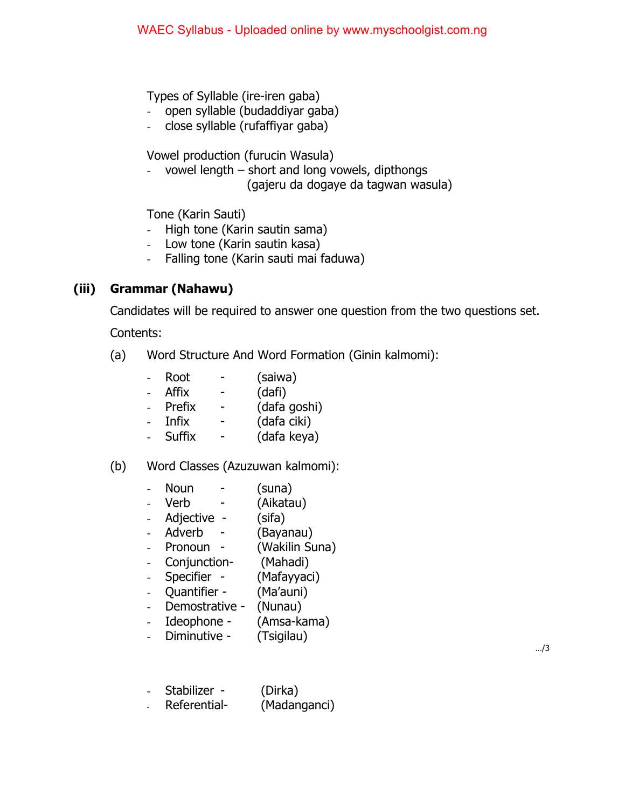Types of Syllable (ire-iren gaba)

- open syllable (budaddiyar gaba)
- close syllable (rufaffiyar gaba)

Vowel production (furucin Wasula)

- vowel length – short and long vowels, dipthongs (gajeru da dogaye da tagwan wasula)

Tone (Karin Sauti)

- High tone (Karin sautin sama)
- Low tone (Karin sautin kasa)
- Falling tone (Karin sauti mai faduwa)

## **(iii) Grammar (Nahawu)**

Candidates will be required to answer one question from the two questions set.

Contents:

- (a) Word Structure And Word Formation (Ginin kalmomi):
	- Root (saiwa)
	- Affix (dafi)
	- Prefix (dafa goshi)
	- Infix (dafa ciki)
	- Suffix (dafa keya)

### (b) Word Classes (Azuzuwan kalmomi):

- Noun (suna)
- Verb (Aikatau)
- Adjective (sifa)
- Adverb (Bayanau)
- Pronoun (Wakilin Suna)
- Conjunction- (Mahadi)
- Specifier (Mafayyaci)
- Quantifier (Ma'auni)
- Demostrative (Nunau)
- Ideophone (Amsa-kama)
- Diminutive (Tsigilau)

…/3

- Stabilizer (Dirka)
- Referential- (Madanganci)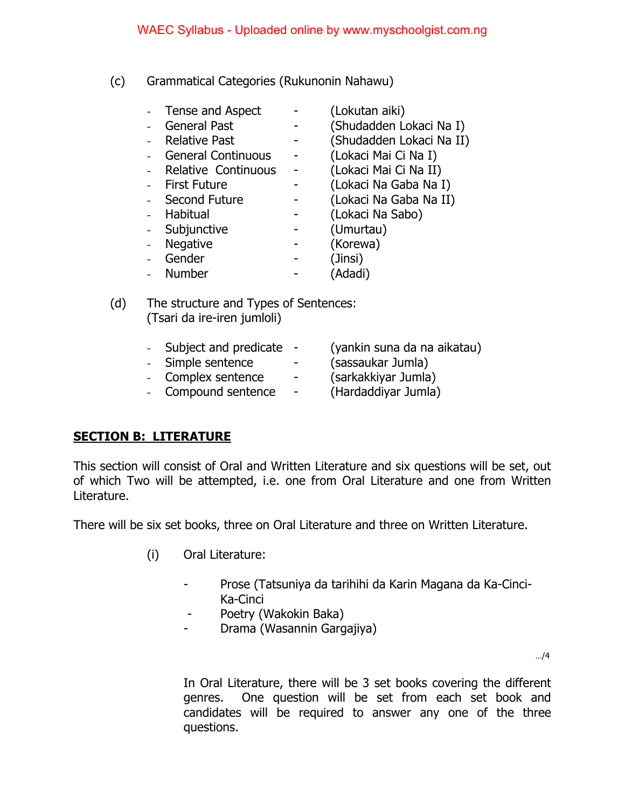(c) Grammatical Categories (Rukunonin Nahawu)

| Tense and Aspect          | (Lokutan aiki)           |
|---------------------------|--------------------------|
| <b>General Past</b>       | (Shudadden Lokaci Na I)  |
| <b>Relative Past</b>      | (Shudadden Lokaci Na II) |
| <b>General Continuous</b> | (Lokaci Mai Ci Na I)     |
| Relative Continuous       | (Lokaci Mai Ci Na II)    |
| <b>First Future</b>       | (Lokaci Na Gaba Na I)    |
| Second Future             | (Lokaci Na Gaba Na II)   |
| Habitual                  | (Lokaci Na Sabo)         |
| Subjunctive               | (Umurtau)                |
| <b>Negative</b>           | (Korewa)                 |
| Gender                    | (Jinsi)                  |
| <b>Number</b>             | (Adadi)                  |

(d) The structure and Types of Sentences: (Tsari da ire-iren jumloli)

|  | Subject and predicate - |  | (yankin suna da na aikatau) |
|--|-------------------------|--|-----------------------------|
|--|-------------------------|--|-----------------------------|

- Simple sentence (sassaukar Jumla)
- Complex sentence (sarkakkiyar Jumla)
- 
- 
- Compound sentence (Hardaddiyar Jumla)

## **SECTION B: LITERATURE**

This section will consist of Oral and Written Literature and six questions will be set, out of which Two will be attempted, i.e. one from Oral Literature and one from Written Literature.

There will be six set books, three on Oral Literature and three on Written Literature.

- (i) Oral Literature:
	- Prose (Tatsuniya da tarihihi da Karin Magana da Ka-Cinci-Ka-Cinci
	- Poetry (Wakokin Baka)
	- Drama (Wasannin Gargajiya)

…/4

In Oral Literature, there will be 3 set books covering the different genres. One question will be set from each set book and candidates will be required to answer any one of the three questions.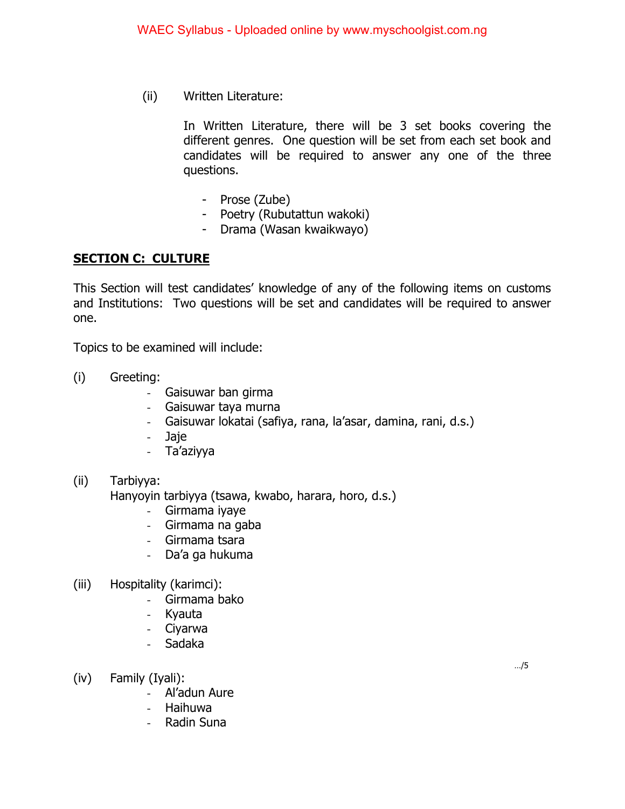(ii) Written Literature:

In Written Literature, there will be 3 set books covering the different genres. One question will be set from each set book and candidates will be required to answer any one of the three questions.

- Prose (Zube)
- Poetry (Rubutattun wakoki)
- Drama (Wasan kwaikwayo)

#### **SECTION C: CULTURE**

This Section will test candidates' knowledge of any of the following items on customs and Institutions: Two questions will be set and candidates will be required to answer one.

Topics to be examined will include:

- (i) Greeting:
	- Gaisuwar ban girma
	- Gaisuwar taya murna
	- Gaisuwar lokatai (safiya, rana, la'asar, damina, rani, d.s.)
	- Jaje
	- Ta'aziyya

#### (ii) Tarbiyya: Hanyoyin tarbiyya (tsawa, kwabo, harara, horo, d.s.)

- Girmama iyaye
- Girmama na gaba
- Girmama tsara
- Da'a ga hukuma
- (iii) Hospitality (karimci):
	- Girmama bako
	- Kyauta
	- Ciyarwa
	- Sadaka
- (iv) Family (Iyali):
	- Al'adun Aure
	- Haihuwa
	- Radin Suna

…/5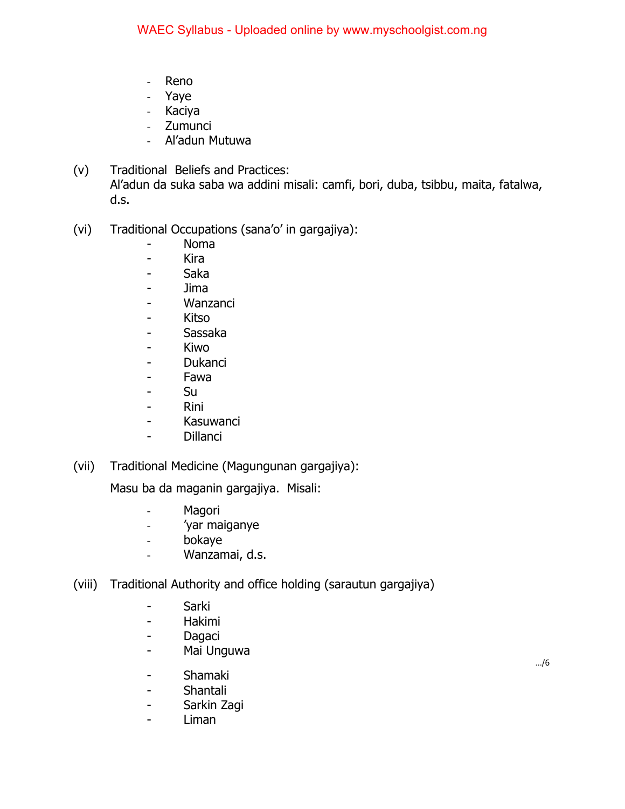- Reno
- Yaye
- Kaciya
- Zumunci
- Al'adun Mutuwa
- (v) Traditional Beliefs and Practices: Al'adun da suka saba wa addini misali: camfi, bori, duba, tsibbu, maita, fatalwa, d.s.
- (vi) Traditional Occupations (sana'o' in gargajiya):
	- Noma
	- Kira
	- Saka
	- Jima
	- Wanzanci
	- Kitso
	- Sassaka
	- Kiwo
	- Dukanci
	- Fawa
	- Su
	- Rini
	- Kasuwanci
	- Dillanci
- (vii) Traditional Medicine (Magungunan gargajiya):

Masu ba da maganin gargajiya. Misali:

- Magori
- 'yar maiganye
- bokaye
- Wanzamai, d.s.
- (viii) Traditional Authority and office holding (sarautun gargajiya)
	- Sarki
	- Hakimi
	- Dagaci
	- Mai Unguwa
	- Shamaki
	- Shantali
	- Sarkin Zagi
	- Liman

…/6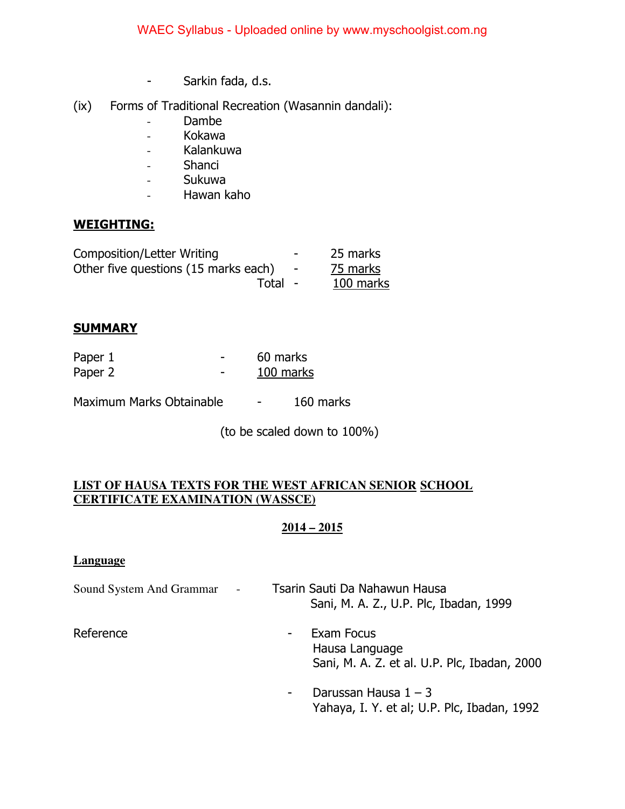- Sarkin fada, d.s.
- (ix) Forms of Traditional Recreation (Wasannin dandali):
	- Dambe
	- Kokawa
	- Kalankuwa
	- Shanci
	- Sukuwa
	- Hawan kaho

### **WEIGHTING:**

| <b>Composition/Letter Writing</b>    | $\overline{\phantom{a}}$ | 25 marks  |
|--------------------------------------|--------------------------|-----------|
| Other five questions (15 marks each) | $\overline{\phantom{0}}$ | 75 marks  |
| Total -                              |                          | 100 marks |

### **SUMMARY**

| Paper 1 | 60 marks  |
|---------|-----------|
| Paper 2 | 100 marks |

Maximum Marks Obtainable - 160 marks

(to be scaled down to 100%)

#### **LIST OF HAUSA TEXTS FOR THE WEST AFRICAN SENIOR SCHOOL CERTIFICATE EXAMINATION (WASSCE)**

#### **2014 – 2015**

#### **Language**

| Sound System And Grammar<br>$\overline{\phantom{a}}$ |   | Tsarin Sauti Da Nahawun Hausa<br>Sani, M. A. Z., U.P. Plc, Ibadan, 1999      |
|------------------------------------------------------|---|------------------------------------------------------------------------------|
| Reference                                            | - | Exam Focus<br>Hausa Language<br>Sani, M. A. Z. et al. U.P. Plc, Ibadan, 2000 |
|                                                      | ۰ | Darussan Hausa $1 - 3$<br>Yahaya, I. Y. et al; U.P. Plc, Ibadan, 1992        |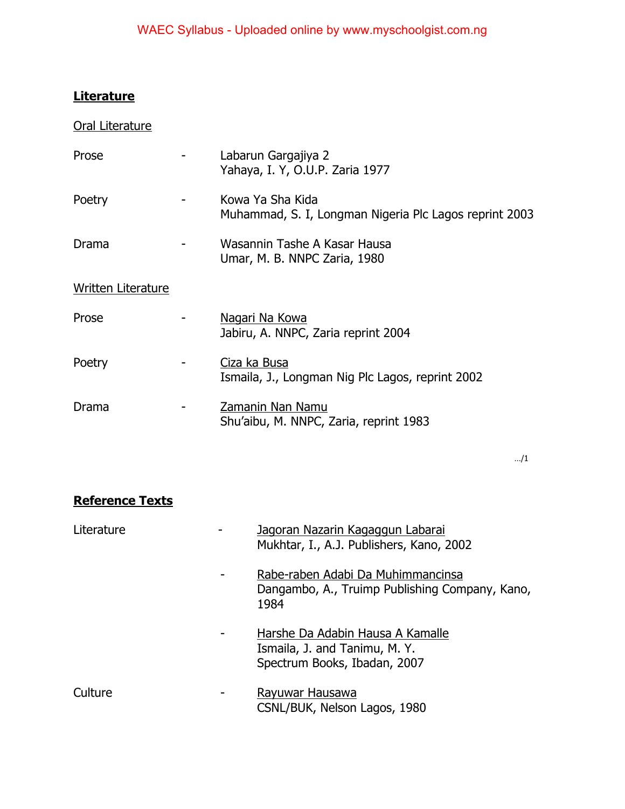# **Literature**

| Oral Literature           |                                                                            |
|---------------------------|----------------------------------------------------------------------------|
| Prose                     | Labarun Gargajiya 2<br>Yahaya, I. Y, O.U.P. Zaria 1977                     |
| Poetry                    | Kowa Ya Sha Kida<br>Muhammad, S. I, Longman Nigeria Plc Lagos reprint 2003 |
| Drama                     | Wasannin Tashe A Kasar Hausa<br>Umar, M. B. NNPC Zaria, 1980               |
| <b>Written Literature</b> |                                                                            |
| Prose                     | <u>Nagari Na Kowa</u><br>Jabiru, A. NNPC, Zaria reprint 2004               |
| Poetry                    | Ciza ka Busa<br>Ismaila, J., Longman Nig Plc Lagos, reprint 2002           |
| Drama                     | Zamanin Nan Namu<br>Shu'aibu, M. NNPC, Zaria, reprint 1983                 |

…/1

# **Reference Texts**

| Literature | Jagoran Nazarin Kagaggun Labarai<br>Mukhtar, I., A.J. Publishers, Kano, 2002                      |
|------------|---------------------------------------------------------------------------------------------------|
|            | Rabe-raben Adabi Da Muhimmancinsa<br>Dangambo, A., Truimp Publishing Company, Kano,<br>1984       |
|            | Harshe Da Adabin Hausa A Kamalle<br>Ismaila, J. and Tanimu, M. Y.<br>Spectrum Books, Ibadan, 2007 |
| Culture    | Rayuwar Hausawa<br>CSNL/BUK, Nelson Lagos, 1980                                                   |